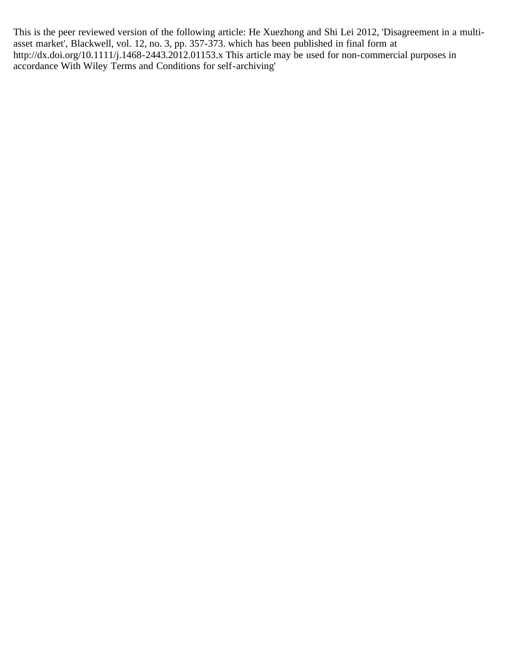This is the peer reviewed version of the following article: He Xuezhong and Shi Lei 2012, 'Disagreement in a multiasset market', Blackwell, vol. 12, no. 3, pp. 357-373. which has been published in final form at http://dx.doi.org/10.1111/j.1468-2443.2012.01153.x This article may be used for non-commercial purposes in accordance With Wiley Terms and Conditions for self-archiving'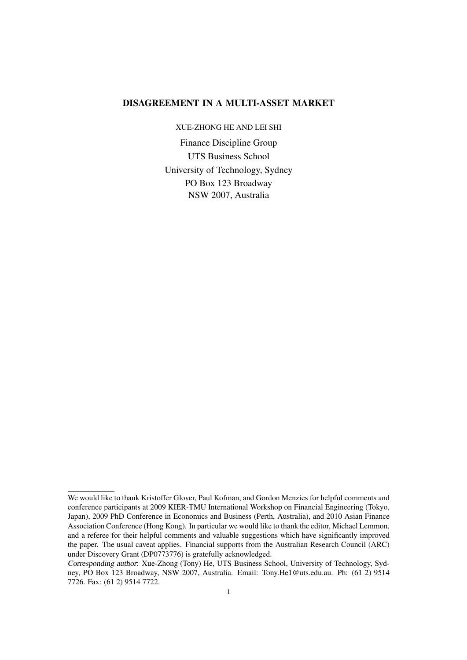# DISAGREEMENT IN A MULTI-ASSET MARKET

XUE-ZHONG HE AND LEI SHI

Finance Discipline Group UTS Business School University of Technology, Sydney PO Box 123 Broadway NSW 2007, Australia

We would like to thank Kristoffer Glover, Paul Kofman, and Gordon Menzies for helpful comments and conference participants at 2009 KIER-TMU International Workshop on Financial Engineering (Tokyo, Japan), 2009 PhD Conference in Economics and Business (Perth, Australia), and 2010 Asian Finance Association Conference (Hong Kong). In particular we would like to thank the editor, Michael Lemmon, and a referee for their helpful comments and valuable suggestions which have significantly improved the paper. The usual caveat applies. Financial supports from the Australian Research Council (ARC) under Discovery Grant (DP0773776) is gratefully acknowledged.

Corresponding author: Xue-Zhong (Tony) He, UTS Business School, University of Technology, Sydney, PO Box 123 Broadway, NSW 2007, Australia. Email: Tony.He1@uts.edu.au. Ph: (61 2) 9514 7726. Fax: (61 2) 9514 7722.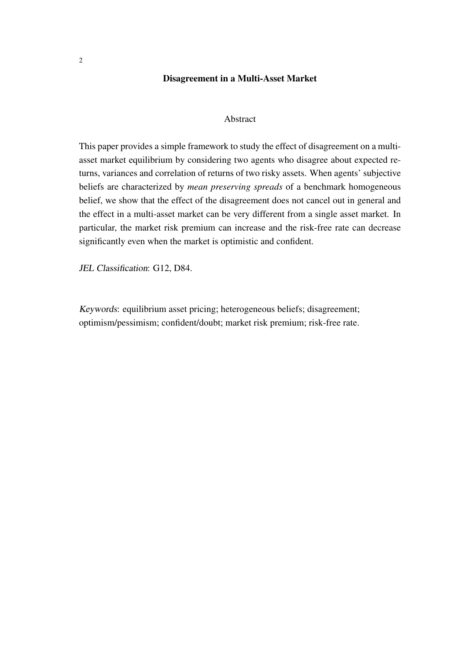## Disagreement in a Multi-Asset Market

### Abstract

This paper provides a simple framework to study the effect of disagreement on a multiasset market equilibrium by considering two agents who disagree about expected returns, variances and correlation of returns of two risky assets. When agents' subjective beliefs are characterized by *mean preserving spreads* of a benchmark homogeneous belief, we show that the effect of the disagreement does not cancel out in general and the effect in a multi-asset market can be very different from a single asset market. In particular, the market risk premium can increase and the risk-free rate can decrease significantly even when the market is optimistic and confident.

JEL Classification: G12, D84.

Keywords: equilibrium asset pricing; heterogeneous beliefs; disagreement; optimism/pessimism; confident/doubt; market risk premium; risk-free rate.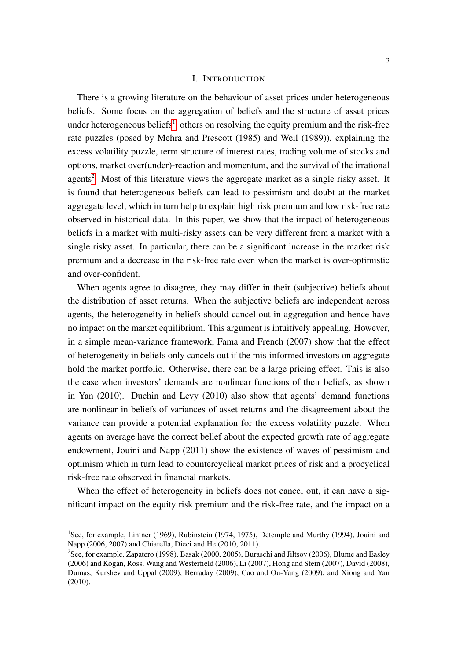#### I. INTRODUCTION

There is a growing literature on the behaviour of asset prices under heterogeneous beliefs. Some focus on the aggregation of beliefs and the structure of asset prices under heterogeneous beliefs<sup>[1](#page-3-0)</sup>; others on resolving the equity premium and the risk-free rate puzzles (posed by Mehra and Prescott (1985) and Weil (1989)), explaining the excess volatility puzzle, term structure of interest rates, trading volume of stocks and options, market over(under)-reaction and momentum, and the survival of the irrational agents<sup>[2](#page-3-1)</sup>. Most of this literature views the aggregate market as a single risky asset. It is found that heterogeneous beliefs can lead to pessimism and doubt at the market aggregate level, which in turn help to explain high risk premium and low risk-free rate observed in historical data. In this paper, we show that the impact of heterogeneous beliefs in a market with multi-risky assets can be very different from a market with a single risky asset. In particular, there can be a significant increase in the market risk premium and a decrease in the risk-free rate even when the market is over-optimistic and over-confident.

When agents agree to disagree, they may differ in their (subjective) beliefs about the distribution of asset returns. When the subjective beliefs are independent across agents, the heterogeneity in beliefs should cancel out in aggregation and hence have no impact on the market equilibrium. This argument is intuitively appealing. However, in a simple mean-variance framework, Fama and French (2007) show that the effect of heterogeneity in beliefs only cancels out if the mis-informed investors on aggregate hold the market portfolio. Otherwise, there can be a large pricing effect. This is also the case when investors' demands are nonlinear functions of their beliefs, as shown in Yan (2010). Duchin and Levy (2010) also show that agents' demand functions are nonlinear in beliefs of variances of asset returns and the disagreement about the variance can provide a potential explanation for the excess volatility puzzle. When agents on average have the correct belief about the expected growth rate of aggregate endowment, Jouini and Napp (2011) show the existence of waves of pessimism and optimism which in turn lead to countercyclical market prices of risk and a procyclical risk-free rate observed in financial markets.

When the effect of heterogeneity in beliefs does not cancel out, it can have a significant impact on the equity risk premium and the risk-free rate, and the impact on a

<span id="page-3-0"></span><sup>&</sup>lt;sup>1</sup>See, for example, Lintner (1969), Rubinstein (1974, 1975), Detemple and Murthy (1994), Jouini and Napp (2006, 2007) and Chiarella, Dieci and He (2010, 2011).

<span id="page-3-1"></span><sup>2</sup>See, for example, Zapatero (1998), Basak (2000, 2005), Buraschi and Jiltsov (2006), Blume and Easley (2006) and Kogan, Ross, Wang and Westerfield (2006), Li (2007), Hong and Stein (2007), David (2008), Dumas, Kurshev and Uppal (2009), Berraday (2009), Cao and Ou-Yang (2009), and Xiong and Yan (2010).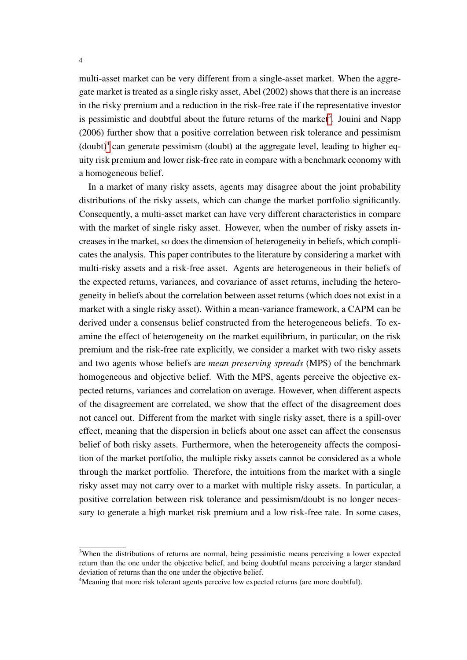multi-asset market can be very different from a single-asset market. When the aggregate market is treated as a single risky asset, Abel (2002) shows that there is an increase in the risky premium and a reduction in the risk-free rate if the representative investor is pessimistic and doubtful about the future returns of the market<sup>[3](#page-4-0)</sup>. Jouini and Napp (2006) further show that a positive correlation between risk tolerance and pessimism  $($ doubt $)^4$  $)^4$  can generate pessimism (doubt) at the aggregate level, leading to higher equity risk premium and lower risk-free rate in compare with a benchmark economy with a homogeneous belief.

In a market of many risky assets, agents may disagree about the joint probability distributions of the risky assets, which can change the market portfolio significantly. Consequently, a multi-asset market can have very different characteristics in compare with the market of single risky asset. However, when the number of risky assets increases in the market, so does the dimension of heterogeneity in beliefs, which complicates the analysis. This paper contributes to the literature by considering a market with multi-risky assets and a risk-free asset. Agents are heterogeneous in their beliefs of the expected returns, variances, and covariance of asset returns, including the heterogeneity in beliefs about the correlation between asset returns (which does not exist in a market with a single risky asset). Within a mean-variance framework, a CAPM can be derived under a consensus belief constructed from the heterogeneous beliefs. To examine the effect of heterogeneity on the market equilibrium, in particular, on the risk premium and the risk-free rate explicitly, we consider a market with two risky assets and two agents whose beliefs are *mean preserving spreads* (MPS) of the benchmark homogeneous and objective belief. With the MPS, agents perceive the objective expected returns, variances and correlation on average. However, when different aspects of the disagreement are correlated, we show that the effect of the disagreement does not cancel out. Different from the market with single risky asset, there is a spill-over effect, meaning that the dispersion in beliefs about one asset can affect the consensus belief of both risky assets. Furthermore, when the heterogeneity affects the composition of the market portfolio, the multiple risky assets cannot be considered as a whole through the market portfolio. Therefore, the intuitions from the market with a single risky asset may not carry over to a market with multiple risky assets. In particular, a positive correlation between risk tolerance and pessimism/doubt is no longer necessary to generate a high market risk premium and a low risk-free rate. In some cases,

<span id="page-4-0"></span><sup>&</sup>lt;sup>3</sup>When the distributions of returns are normal, being pessimistic means perceiving a lower expected return than the one under the objective belief, and being doubtful means perceiving a larger standard deviation of returns than the one under the objective belief.

<span id="page-4-1"></span><sup>&</sup>lt;sup>4</sup>Meaning that more risk tolerant agents perceive low expected returns (are more doubtful).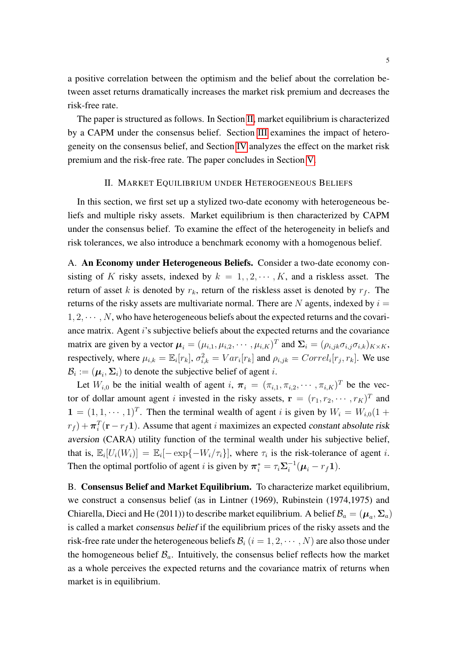a positive correlation between the optimism and the belief about the correlation between asset returns dramatically increases the market risk premium and decreases the risk-free rate.

The paper is structured as follows. In Section [II,](#page-5-0) market equilibrium is characterized by a CAPM under the consensus belief. Section [III](#page-7-0) examines the impact of heterogeneity on the consensus belief, and Section [IV](#page-11-0) analyzes the effect on the market risk premium and the risk-free rate. The paper concludes in Section [V.](#page-17-0)

#### II. MARKET EQUILIBRIUM UNDER HETEROGENEOUS BELIEFS

<span id="page-5-0"></span>In this section, we first set up a stylized two-date economy with heterogeneous beliefs and multiple risky assets. Market equilibrium is then characterized by CAPM under the consensus belief. To examine the effect of the heterogeneity in beliefs and risk tolerances, we also introduce a benchmark economy with a homogenous belief.

A. An Economy under Heterogeneous Beliefs. Consider a two-date economy consisting of K risky assets, indexed by  $k = 1, 2, \dots, K$ , and a riskless asset. The return of asset k is denoted by  $r_k$ , return of the riskless asset is denoted by  $r_f$ . The returns of the risky assets are multivariate normal. There are  $N$  agents, indexed by  $i =$  $1, 2, \cdots, N$ , who have heterogeneous beliefs about the expected returns and the covariance matrix. Agent i's subjective beliefs about the expected returns and the covariance matrix are given by a vector  $\mu_i = (\mu_{i,1}, \mu_{i,2}, \cdots, \mu_{i,K})^T$  and  $\Sigma_i = (\rho_{i,jk} \sigma_{i,j} \sigma_{i,k})_{K \times K}$ , respectively, where  $\mu_{i,k} = \mathbb{E}_i[r_k], \sigma_{i,k}^2 = Var_i[r_k]$  and  $\rho_{i,jk} = Correl_i[r_j, r_k]$ . We use  $\mathcal{B}_i := (\boldsymbol{\mu}_i, \boldsymbol{\Sigma}_i)$  to denote the subjective belief of agent *i*.

Let  $W_{i,0}$  be the initial wealth of agent  $i, \pi_i = (\pi_{i,1}, \pi_{i,2}, \cdots, \pi_{i,K})^T$  be the vector of dollar amount agent i invested in the risky assets,  $\mathbf{r} = (r_1, r_2, \cdots, r_K)^T$  and  $\mathbf{1} = (1, 1, \dots, 1)^T$ . Then the terminal wealth of agent *i* is given by  $W_i = W_{i,0}(1 +$  $(r_f) + \pi_i^T(\mathbf{r} - r_f \mathbf{1}).$  Assume that agent *i* maximizes an expected constant absolute risk aversion (CARA) utility function of the terminal wealth under his subjective belief, that is,  $\mathbb{E}_i[U_i(W_i)] = \mathbb{E}_i[-\exp\{-W_i/\tau_i\}]$ , where  $\tau_i$  is the risk-tolerance of agent *i*. Then the optimal portfolio of agent *i* is given by  $\pi_i^* = \tau_i \Sigma_i^{-1}$  $i^{-1}(\mu_i - r_f \mathbf{1}).$ 

B. Consensus Belief and Market Equilibrium. To characterize market equilibrium, we construct a consensus belief (as in Lintner (1969), Rubinstein (1974,1975) and Chiarella, Dieci and He (2011)) to describe market equilibrium. A belief  $\mathcal{B}_a = (\mu_a, \Sigma_a)$ is called a market consensus belief if the equilibrium prices of the risky assets and the risk-free rate under the heterogeneous beliefs  $\mathcal{B}_i$  ( $i = 1, 2, \dots, N$ ) are also those under the homogeneous belief  $\mathcal{B}_a$ . Intuitively, the consensus belief reflects how the market as a whole perceives the expected returns and the covariance matrix of returns when market is in equilibrium.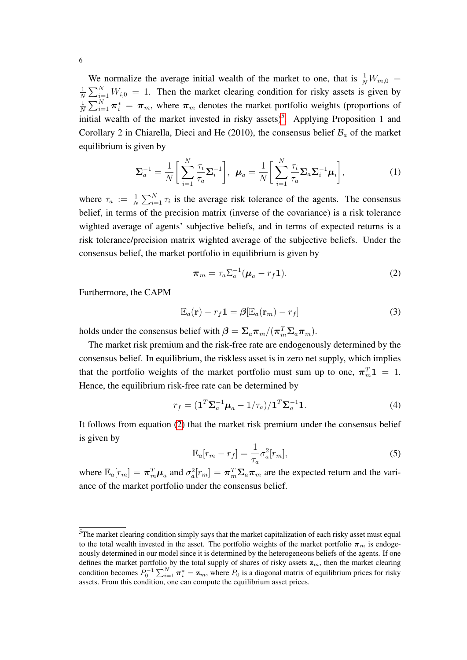We normalize the average initial wealth of the market to one, that is  $\frac{1}{N}W_{m,0}$  = 1  $\frac{1}{N} \sum_{i=1}^{N} W_{i,0} = 1$ . Then the market clearing condition for risky assets is given by 1  $\frac{1}{N}\sum_{i=1}^{N} \pi_i^* = \pi_m$ , where  $\pi_m$  denotes the market portfolio weights (proportions of initial wealth of the market invested in risky assets)<sup>[5](#page-6-0)</sup>. Applying Proposition 1 and Corollary 2 in Chiarella, Dieci and He (2010), the consensus belief  $\mathcal{B}_a$  of the market equilibrium is given by

$$
\Sigma_a^{-1} = \frac{1}{N} \bigg[ \sum_{i=1}^N \frac{\tau_i}{\tau_a} \Sigma_i^{-1} \bigg], \ \boldsymbol{\mu}_a = \frac{1}{N} \bigg[ \sum_{i=1}^N \frac{\tau_i}{\tau_a} \Sigma_a \Sigma_i^{-1} \boldsymbol{\mu}_i \bigg], \tag{1}
$$

where  $\tau_a := \frac{1}{N} \sum_{i=1}^N \tau_i$  is the average risk tolerance of the agents. The consensus belief, in terms of the precision matrix (inverse of the covariance) is a risk tolerance wighted average of agents' subjective beliefs, and in terms of expected returns is a risk tolerance/precision matrix wighted average of the subjective beliefs. Under the consensus belief, the market portfolio in equilibrium is given by

<span id="page-6-1"></span>
$$
\boldsymbol{\pi}_m = \tau_a \Sigma_a^{-1} (\boldsymbol{\mu}_a - r_f \mathbf{1}). \tag{2}
$$

Furthermore, the CAPM

$$
\mathbb{E}_a(\mathbf{r}) - r_f \mathbf{1} = \beta [\mathbb{E}_a(\mathbf{r}_m) - r_f]
$$
 (3)

holds under the consensus belief with  $\boldsymbol{\beta} = \Sigma_a \boldsymbol{\pi}_m / (\boldsymbol{\pi}_m^T \Sigma_a \boldsymbol{\pi}_m)$ .

The market risk premium and the risk-free rate are endogenously determined by the consensus belief. In equilibrium, the riskless asset is in zero net supply, which implies that the portfolio weights of the market portfolio must sum up to one,  $\pi_m^T 1 = 1$ . Hence, the equilibrium risk-free rate can be determined by

<span id="page-6-2"></span>
$$
r_f = \left(\mathbf{1}^T \Sigma_a^{-1} \boldsymbol{\mu}_a - 1/\tau_a\right) / \mathbf{1}^T \Sigma_a^{-1} \mathbf{1}.
$$
\n<sup>(4)</sup>

It follows from equation [\(2\)](#page-6-1) that the market risk premium under the consensus belief is given by

$$
\mathbb{E}_a[r_m - r_f] = \frac{1}{\tau_a} \sigma_a^2[r_m],\tag{5}
$$

where  $\mathbb{E}_a[r_m] = \pi_m^T \mu_a$  and  $\sigma_a^2[r_m] = \pi_m^T \Sigma_a \pi_m$  are the expected return and the variance of the market portfolio under the consensus belief.

<span id="page-6-0"></span><sup>&</sup>lt;sup>5</sup>The market clearing condition simply says that the market capitalization of each risky asset must equal to the total wealth invested in the asset. The portfolio weights of the market portfolio  $\pi_m$  is endogenously determined in our model since it is determined by the heterogeneous beliefs of the agents. If one defines the market portfolio by the total supply of shares of risky assets  $z_m$ , then the market clearing condition becomes  $P_0^{-1} \sum_{i=1}^N \pi_i^* = \mathbf{z}_m$ , where  $P_0$  is a diagonal matrix of equilibrium prices for risky assets. From this condition, one can compute the equilibrium asset prices.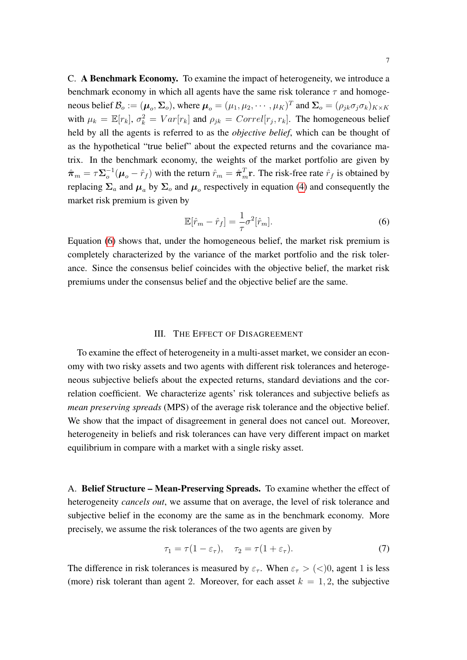C. A Benchmark Economy. To examine the impact of heterogeneity, we introduce a benchmark economy in which all agents have the same risk tolerance  $\tau$  and homogeneous belief  $\mathcal{B}_o := (\mu_o, \Sigma_o)$ , where  $\mu_o = (\mu_1, \mu_2, \cdots, \mu_K)^T$  and  $\Sigma_o = (\rho_{jk}\sigma_j\sigma_k)_{K\times K}$ with  $\mu_k = \mathbb{E}[r_k], \sigma_k^2 = Var[r_k]$  and  $\rho_{jk} = Correl[r_j, r_k]$ . The homogeneous belief held by all the agents is referred to as the *objective belief*, which can be thought of as the hypothetical "true belief" about the expected returns and the covariance matrix. In the benchmark economy, the weights of the market portfolio are given by  $\hat{\boldsymbol{\pi}}_{m}=\tau\boldsymbol{\Sigma}_{o}^{-1}$  $\hat{\sigma}^{-1}(\mu_o - \hat{r}_f)$  with the return  $\hat{r}_m = \hat{\pi}_m^T r$ . The risk-free rate  $\hat{r}_f$  is obtained by replacing  $\Sigma_a$  and  $\mu_a$  by  $\Sigma_o$  and  $\mu_o$  respectively in equation [\(4\)](#page-6-2) and consequently the market risk premium is given by

<span id="page-7-1"></span>
$$
\mathbb{E}[\hat{r}_m - \hat{r}_f] = \frac{1}{\tau} \sigma^2[\hat{r}_m].\tag{6}
$$

Equation [\(6\)](#page-7-1) shows that, under the homogeneous belief, the market risk premium is completely characterized by the variance of the market portfolio and the risk tolerance. Since the consensus belief coincides with the objective belief, the market risk premiums under the consensus belief and the objective belief are the same.

## III. THE EFFECT OF DISAGREEMENT

<span id="page-7-0"></span>To examine the effect of heterogeneity in a multi-asset market, we consider an economy with two risky assets and two agents with different risk tolerances and heterogeneous subjective beliefs about the expected returns, standard deviations and the correlation coefficient. We characterize agents' risk tolerances and subjective beliefs as *mean preserving spreads* (MPS) of the average risk tolerance and the objective belief. We show that the impact of disagreement in general does not cancel out. Moreover, heterogeneity in beliefs and risk tolerances can have very different impact on market equilibrium in compare with a market with a single risky asset.

A. Belief Structure – Mean-Preserving Spreads. To examine whether the effect of heterogeneity *cancels out*, we assume that on average, the level of risk tolerance and subjective belief in the economy are the same as in the benchmark economy. More precisely, we assume the risk tolerances of the two agents are given by

$$
\tau_1 = \tau (1 - \varepsilon_\tau), \quad \tau_2 = \tau (1 + \varepsilon_\tau). \tag{7}
$$

The difference in risk tolerances is measured by  $\varepsilon_{\tau}$ . When  $\varepsilon_{\tau} > (<)0$ , agent 1 is less (more) risk tolerant than agent 2. Moreover, for each asset  $k = 1, 2$ , the subjective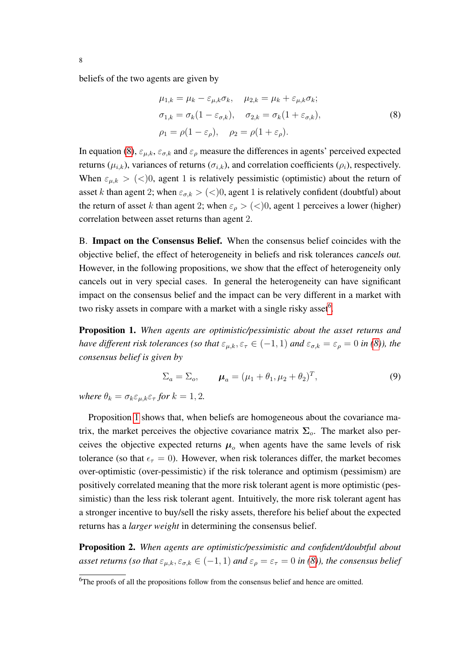beliefs of the two agents are given by

<span id="page-8-0"></span>
$$
\mu_{1,k} = \mu_k - \varepsilon_{\mu,k} \sigma_k, \quad \mu_{2,k} = \mu_k + \varepsilon_{\mu,k} \sigma_k;
$$
  
\n
$$
\sigma_{1,k} = \sigma_k (1 - \varepsilon_{\sigma,k}), \quad \sigma_{2,k} = \sigma_k (1 + \varepsilon_{\sigma,k}),
$$
  
\n
$$
\rho_1 = \rho (1 - \varepsilon_\rho), \quad \rho_2 = \rho (1 + \varepsilon_\rho).
$$
\n(8)

In equation [\(8\)](#page-8-0),  $\varepsilon_{\mu,k}$ ,  $\varepsilon_{\sigma,k}$  and  $\varepsilon_{\rho}$  measure the differences in agents' perceived expected returns ( $\mu_{i,k}$ ), variances of returns ( $\sigma_{i,k}$ ), and correlation coefficients ( $\rho_i$ ), respectively. When  $\varepsilon_{\mu,k} > (<)0$ , agent 1 is relatively pessimistic (optimistic) about the return of asset k than agent 2; when  $\varepsilon_{\sigma,k}$  > (<)0, agent 1 is relatively confident (doubtful) about the return of asset k than agent 2; when  $\varepsilon_{\rho}$  > (<)0, agent 1 perceives a lower (higher) correlation between asset returns than agent 2.

B. Impact on the Consensus Belief. When the consensus belief coincides with the objective belief, the effect of heterogeneity in beliefs and risk tolerances cancels out. However, in the following propositions, we show that the effect of heterogeneity only cancels out in very special cases. In general the heterogeneity can have significant impact on the consensus belief and the impact can be very different in a market with two risky assets in compare with a market with a single risky asset<sup>[6](#page-8-1)</sup>.

<span id="page-8-2"></span>Proposition 1. *When agents are optimistic/pessimistic about the asset returns and have different risk tolerances (so that*  $\varepsilon_{\mu,k}, \varepsilon_{\tau} \in (-1,1)$  *and*  $\varepsilon_{\sigma,k} = \varepsilon_{\rho} = 0$  *in [\(8\)](#page-8-0)), the consensus belief is given by*

$$
\Sigma_a = \Sigma_o, \qquad \mu_a = (\mu_1 + \theta_1, \mu_2 + \theta_2)^T, \tag{9}
$$

*where*  $\theta_k = \sigma_k \varepsilon_{\mu,k} \varepsilon_{\tau}$  *for*  $k = 1, 2$ *.* 

Proposition [1](#page-8-2) shows that, when beliefs are homogeneous about the covariance matrix, the market perceives the objective covariance matrix  $\Sigma_o$ . The market also perceives the objective expected returns  $\mu_0$  when agents have the same levels of risk tolerance (so that  $\epsilon_{\tau} = 0$ ). However, when risk tolerances differ, the market becomes over-optimistic (over-pessimistic) if the risk tolerance and optimism (pessimism) are positively correlated meaning that the more risk tolerant agent is more optimistic (pessimistic) than the less risk tolerant agent. Intuitively, the more risk tolerant agent has a stronger incentive to buy/sell the risky assets, therefore his belief about the expected returns has a *larger weight* in determining the consensus belief.

<span id="page-8-3"></span>Proposition 2. *When agents are optimistic/pessimistic and confident/doubtful about asset returns (so that*  $\varepsilon_{\mu,k}, \varepsilon_{\sigma,k} \in (-1,1)$  *and*  $\varepsilon_{\rho} = \varepsilon_{\tau} = 0$  *in [\(8\)](#page-8-0)), the consensus belief* 

<span id="page-8-1"></span><sup>&</sup>lt;sup>6</sup>The proofs of all the propositions follow from the consensus belief and hence are omitted.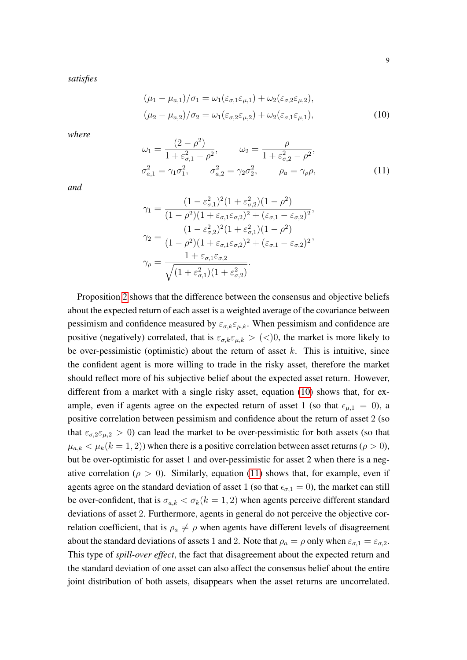*satisfies*

<span id="page-9-0"></span>
$$
(\mu_1 - \mu_{a,1})/\sigma_1 = \omega_1(\varepsilon_{\sigma,1}\varepsilon_{\mu,1}) + \omega_2(\varepsilon_{\sigma,2}\varepsilon_{\mu,2}),
$$
  

$$
(\mu_2 - \mu_{a,2})/\sigma_2 = \omega_1(\varepsilon_{\sigma,2}\varepsilon_{\mu,2}) + \omega_2(\varepsilon_{\sigma,1}\varepsilon_{\mu,1}),
$$
 (10)

*where*

<span id="page-9-1"></span>
$$
\omega_1 = \frac{(2 - \rho^2)}{1 + \varepsilon_{\sigma,1}^2 - \rho^2}, \qquad \omega_2 = \frac{\rho}{1 + \varepsilon_{\sigma,2}^2 - \rho^2}, \n\sigma_{a,1}^2 = \gamma_1 \sigma_1^2, \qquad \sigma_{a,2}^2 = \gamma_2 \sigma_2^2, \qquad \rho_a = \gamma_\rho \rho,
$$
\n(11)

*and*

$$
\gamma_1 = \frac{(1 - \varepsilon_{\sigma,1}^2)^2 (1 + \varepsilon_{\sigma,2}^2)(1 - \rho^2)}{(1 - \rho^2)(1 + \varepsilon_{\sigma,1}\varepsilon_{\sigma,2})^2 + (\varepsilon_{\sigma,1} - \varepsilon_{\sigma,2})^2},
$$
  
\n
$$
\gamma_2 = \frac{(1 - \varepsilon_{\sigma,2}^2)^2 (1 + \varepsilon_{\sigma,1}^2)(1 - \rho^2)}{(1 - \rho^2)(1 + \varepsilon_{\sigma,1}\varepsilon_{\sigma,2})^2 + (\varepsilon_{\sigma,1} - \varepsilon_{\sigma,2})^2},
$$
  
\n
$$
\gamma_\rho = \frac{1 + \varepsilon_{\sigma,1}\varepsilon_{\sigma,2}}{\sqrt{(1 + \varepsilon_{\sigma,1}^2)(1 + \varepsilon_{\sigma,2}^2)}}.
$$

Proposition [2](#page-8-3) shows that the difference between the consensus and objective beliefs about the expected return of each asset is a weighted average of the covariance between pessimism and confidence measured by  $\varepsilon_{\sigma,k} \varepsilon_{\mu,k}$ . When pessimism and confidence are positive (negatively) correlated, that is  $\varepsilon_{\sigma,k} \varepsilon_{\mu,k} > (0)$ , the market is more likely to be over-pessimistic (optimistic) about the return of asset  $k$ . This is intuitive, since the confident agent is more willing to trade in the risky asset, therefore the market should reflect more of his subjective belief about the expected asset return. However, different from a market with a single risky asset, equation [\(10\)](#page-9-0) shows that, for example, even if agents agree on the expected return of asset 1 (so that  $\epsilon_{\mu,1} = 0$ ), a positive correlation between pessimism and confidence about the return of asset 2 (so that  $\varepsilon_{\sigma,2} \varepsilon_{\mu,2} > 0$ ) can lead the market to be over-pessimistic for both assets (so that  $\mu_{a,k} < \mu_k (k = 1, 2)$ ) when there is a positive correlation between asset returns ( $\rho > 0$ ), but be over-optimistic for asset 1 and over-pessimistic for asset 2 when there is a negative correlation ( $\rho > 0$ ). Similarly, equation [\(11\)](#page-9-1) shows that, for example, even if agents agree on the standard deviation of asset 1 (so that  $\epsilon_{\sigma,1} = 0$ ), the market can still be over-confident, that is  $\sigma_{a,k} < \sigma_k (k = 1, 2)$  when agents perceive different standard deviations of asset 2. Furthermore, agents in general do not perceive the objective correlation coefficient, that is  $\rho_a \neq \rho$  when agents have different levels of disagreement about the standard deviations of assets 1 and 2. Note that  $\rho_a = \rho$  only when  $\varepsilon_{\sigma,1} = \varepsilon_{\sigma,2}$ . This type of *spill-over effect*, the fact that disagreement about the expected return and the standard deviation of one asset can also affect the consensus belief about the entire joint distribution of both assets, disappears when the asset returns are uncorrelated.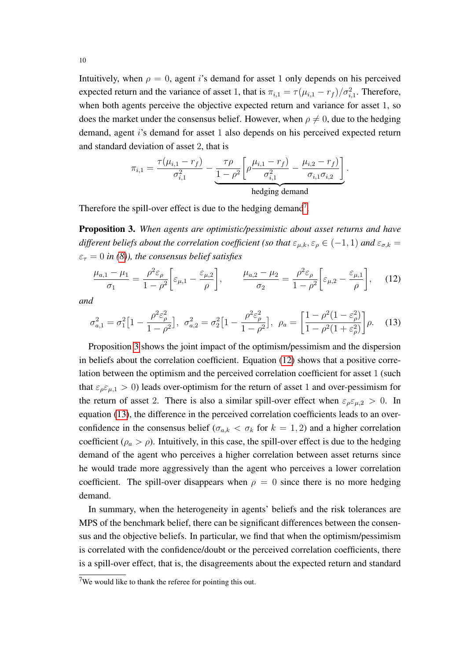Intuitively, when  $\rho = 0$ , agent is demand for asset 1 only depends on his perceived expected return and the variance of asset 1, that is  $\pi_{i,1} = \tau(\mu_{i,1} - r_f)/\sigma_{i,1}^2$ . Therefore, when both agents perceive the objective expected return and variance for asset 1, so does the market under the consensus belief. However, when  $\rho \neq 0$ , due to the hedging demand, agent i's demand for asset 1 also depends on his perceived expected return and standard deviation of asset 2, that is

$$
\pi_{i,1} = \frac{\tau(\mu_{i,1} - r_f)}{\sigma_{i,1}^2} - \underbrace{\frac{\tau \rho}{1 - \rho^2} \left[ \rho \frac{\mu_{i,1} - r_f}{\sigma_{i,1}^2} - \frac{\mu_{i,2} - r_f}{\sigma_{i,1} \sigma_{i,2}} \right]}_{\text{hedging demand}}.
$$

Therefore the spill-over effect is due to the hedging demand<sup>[7](#page-10-0)</sup>.

<span id="page-10-1"></span>Proposition 3. *When agents are optimistic/pessimistic about asset returns and have different beliefs about the correlation coefficient (so that*  $\varepsilon_{\mu,k}, \varepsilon_{\rho} \in (-1,1)$  *and*  $\varepsilon_{\sigma,k} =$  $\varepsilon_{\tau} = 0$  *in [\(8\)](#page-8-0)), the consensus belief satisfies* 

<span id="page-10-2"></span>
$$
\frac{\mu_{a,1} - \mu_1}{\sigma_1} = \frac{\rho^2 \varepsilon_\rho}{1 - \rho^2} \bigg[ \varepsilon_{\mu,1} - \frac{\varepsilon_{\mu,2}}{\rho} \bigg], \qquad \frac{\mu_{a,2} - \mu_2}{\sigma_2} = \frac{\rho^2 \varepsilon_\rho}{1 - \rho^2} \bigg[ \varepsilon_{\mu,2} - \frac{\varepsilon_{\mu,1}}{\rho} \bigg], \tag{12}
$$

*and*

<span id="page-10-3"></span>
$$
\sigma_{a,1}^2 = \sigma_1^2 \left[ 1 - \frac{\rho^2 \varepsilon_\rho^2}{1 - \rho^2} \right], \quad \sigma_{a,2}^2 = \sigma_2^2 \left[ 1 - \frac{\rho^2 \varepsilon_\rho^2}{1 - \rho^2} \right], \quad \rho_a = \left[ \frac{1 - \rho^2 (1 - \varepsilon_\rho^2)}{1 - \rho^2 (1 + \varepsilon_\rho^2)} \right] \rho. \tag{13}
$$

Proposition [3](#page-10-1) shows the joint impact of the optimism/pessimism and the dispersion in beliefs about the correlation coefficient. Equation [\(12\)](#page-10-2) shows that a positive correlation between the optimism and the perceived correlation coefficient for asset 1 (such that  $\varepsilon_{\rho} \varepsilon_{\mu,1} > 0$ ) leads over-optimism for the return of asset 1 and over-pessimism for the return of asset 2. There is also a similar spill-over effect when  $\varepsilon_{\rho} \varepsilon_{\mu,2} > 0$ . In equation [\(13\)](#page-10-3), the difference in the perceived correlation coefficients leads to an overconfidence in the consensus belief ( $\sigma_{a,k} < \sigma_k$  for  $k = 1, 2$ ) and a higher correlation coefficient ( $\rho_a > \rho$ ). Intuitively, in this case, the spill-over effect is due to the hedging demand of the agent who perceives a higher correlation between asset returns since he would trade more aggressively than the agent who perceives a lower correlation coefficient. The spill-over disappears when  $\rho = 0$  since there is no more hedging demand.

In summary, when the heterogeneity in agents' beliefs and the risk tolerances are MPS of the benchmark belief, there can be significant differences between the consensus and the objective beliefs. In particular, we find that when the optimism/pessimism is correlated with the confidence/doubt or the perceived correlation coefficients, there is a spill-over effect, that is, the disagreements about the expected return and standard

<span id="page-10-0"></span> $7$ We would like to thank the referee for pointing this out.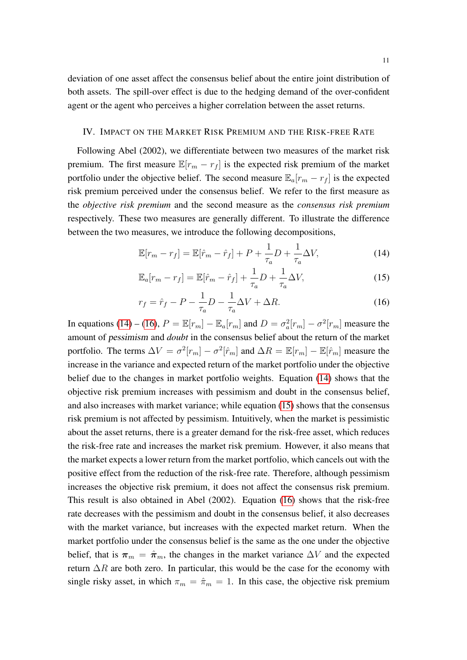deviation of one asset affect the consensus belief about the entire joint distribution of both assets. The spill-over effect is due to the hedging demand of the over-confident agent or the agent who perceives a higher correlation between the asset returns.

### <span id="page-11-0"></span>IV. IMPACT ON THE MARKET RISK PREMIUM AND THE RISK-FREE RATE

Following Abel (2002), we differentiate between two measures of the market risk premium. The first measure  $\mathbb{E}[r_m - r_f]$  is the expected risk premium of the market portfolio under the objective belief. The second measure  $\mathbb{E}_a[r_m - r_f]$  is the expected risk premium perceived under the consensus belief. We refer to the first measure as the *objective risk premium* and the second measure as the *consensus risk premium* respectively. These two measures are generally different. To illustrate the difference between the two measures, we introduce the following decompositions,

<span id="page-11-3"></span><span id="page-11-1"></span>
$$
\mathbb{E}[r_m - r_f] = \mathbb{E}[\hat{r}_m - \hat{r}_f] + P + \frac{1}{\tau_a}D + \frac{1}{\tau_a}\Delta V,\tag{14}
$$

$$
\mathbb{E}_a[r_m - r_f] = \mathbb{E}[\hat{r}_m - \hat{r}_f] + \frac{1}{\tau_a}D + \frac{1}{\tau_a}\Delta V,\tag{15}
$$

<span id="page-11-2"></span>
$$
r_f = \hat{r}_f - P - \frac{1}{\tau_a}D - \frac{1}{\tau_a}\Delta V + \Delta R.
$$
 (16)

In equations [\(14\)](#page-11-1) – [\(16\)](#page-11-2),  $P = \mathbb{E}[r_m] - \mathbb{E}_a[r_m]$  and  $D = \sigma_a^2[r_m] - \sigma^2[r_m]$  measure the amount of pessimism and *doubt* in the consensus belief about the return of the market portfolio. The terms  $\Delta V = \sigma^2[r_m] - \sigma^2[\hat{r}_m]$  and  $\Delta R = \mathbb{E}[r_m] - \mathbb{E}[\hat{r}_m]$  measure the increase in the variance and expected return of the market portfolio under the objective belief due to the changes in market portfolio weights. Equation [\(14\)](#page-11-1) shows that the objective risk premium increases with pessimism and doubt in the consensus belief, and also increases with market variance; while equation [\(15\)](#page-11-3) shows that the consensus risk premium is not affected by pessimism. Intuitively, when the market is pessimistic about the asset returns, there is a greater demand for the risk-free asset, which reduces the risk-free rate and increases the market risk premium. However, it also means that the market expects a lower return from the market portfolio, which cancels out with the positive effect from the reduction of the risk-free rate. Therefore, although pessimism increases the objective risk premium, it does not affect the consensus risk premium. This result is also obtained in Abel (2002). Equation [\(16\)](#page-11-2) shows that the risk-free rate decreases with the pessimism and doubt in the consensus belief, it also decreases with the market variance, but increases with the expected market return. When the market portfolio under the consensus belief is the same as the one under the objective belief, that is  $\pi_m = \hat{\pi}_m$ , the changes in the market variance  $\Delta V$  and the expected return  $\Delta R$  are both zero. In particular, this would be the case for the economy with single risky asset, in which  $\pi_m = \hat{\pi}_m = 1$ . In this case, the objective risk premium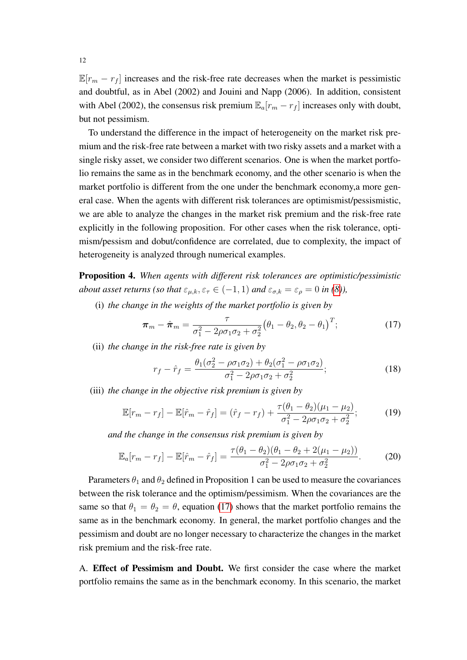$\mathbb{E}[r_m - r_f]$  increases and the risk-free rate decreases when the market is pessimistic and doubtful, as in Abel (2002) and Jouini and Napp (2006). In addition, consistent with Abel (2002), the consensus risk premium  $\mathbb{E}_a[r_m - r_f]$  increases only with doubt, but not pessimism.

To understand the difference in the impact of heterogeneity on the market risk premium and the risk-free rate between a market with two risky assets and a market with a single risky asset, we consider two different scenarios. One is when the market portfolio remains the same as in the benchmark economy, and the other scenario is when the market portfolio is different from the one under the benchmark economy,a more general case. When the agents with different risk tolerances are optimismist/pessismistic, we are able to analyze the changes in the market risk premium and the risk-free rate explicitly in the following proposition. For other cases when the risk tolerance, optimism/pessism and dobut/confidence are correlated, due to complexity, the impact of heterogeneity is analyzed through numerical examples.

<span id="page-12-1"></span>Proposition 4. *When agents with different risk tolerances are optimistic/pessimistic about asset returns (so that*  $\varepsilon_{\mu,k}, \varepsilon_{\tau} \in (-1,1)$  *and*  $\varepsilon_{\sigma,k} = \varepsilon_{\rho} = 0$  *in [\(8\)](#page-8-0)),* 

(i) *the change in the weights of the market portfolio is given by*

<span id="page-12-0"></span>
$$
\boldsymbol{\pi}_m - \hat{\boldsymbol{\pi}}_m = \frac{\tau}{\sigma_1^2 - 2\rho \sigma_1 \sigma_2 + \sigma_2^2} \big(\theta_1 - \theta_2, \theta_2 - \theta_1\big)^T; \tag{17}
$$

(ii) *the change in the risk-free rate is given by*

<span id="page-12-2"></span>
$$
r_f - \hat{r}_f = \frac{\theta_1(\sigma_2^2 - \rho \sigma_1 \sigma_2) + \theta_2(\sigma_1^2 - \rho \sigma_1 \sigma_2)}{\sigma_1^2 - 2\rho \sigma_1 \sigma_2 + \sigma_2^2};
$$
(18)

(iii) *the change in the objective risk premium is given by*

<span id="page-12-3"></span>
$$
\mathbb{E}[r_m - r_f] - \mathbb{E}[\hat{r}_m - \hat{r}_f] = (\hat{r}_f - r_f) + \frac{\tau(\theta_1 - \theta_2)(\mu_1 - \mu_2)}{\sigma_1^2 - 2\rho\sigma_1\sigma_2 + \sigma_2^2};
$$
(19)

*and the change in the consensus risk premium is given by*

$$
\mathbb{E}_a[r_m - r_f] - \mathbb{E}[\hat{r}_m - \hat{r}_f] = \frac{\tau(\theta_1 - \theta_2)(\theta_1 - \theta_2 + 2(\mu_1 - \mu_2))}{\sigma_1^2 - 2\rho\sigma_1\sigma_2 + \sigma_2^2}.
$$
 (20)

Parameters  $\theta_1$  and  $\theta_2$  defined in Proposition 1 can be used to measure the covariances between the risk tolerance and the optimism/pessimism. When the covariances are the same so that  $\theta_1 = \theta_2 = \theta$ , equation [\(17\)](#page-12-0) shows that the market portfolio remains the same as in the benchmark economy. In general, the market portfolio changes and the pessimism and doubt are no longer necessary to characterize the changes in the market risk premium and the risk-free rate.

A. Effect of Pessimism and Doubt. We first consider the case where the market portfolio remains the same as in the benchmark economy. In this scenario, the market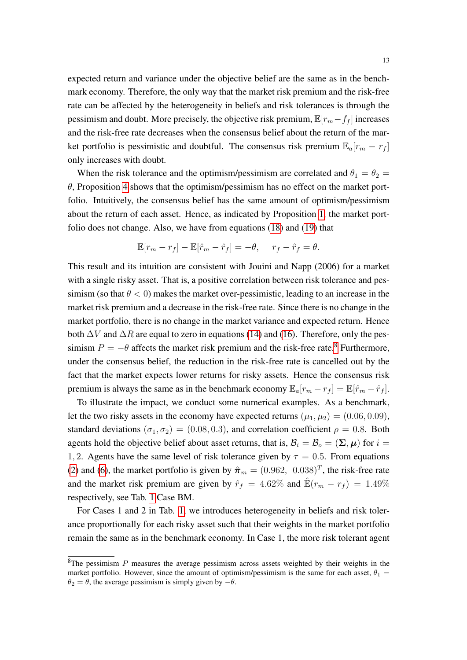expected return and variance under the objective belief are the same as in the benchmark economy. Therefore, the only way that the market risk premium and the risk-free rate can be affected by the heterogeneity in beliefs and risk tolerances is through the pessimism and doubt. More precisely, the objective risk premium,  $\mathbb{E}[r_m-f_f]$  increases and the risk-free rate decreases when the consensus belief about the return of the market portfolio is pessimistic and doubtful. The consensus risk premium  $\mathbb{E}_a[r_m - r_f]$ only increases with doubt.

When the risk tolerance and the optimism/pessimism are correlated and  $\theta_1 = \theta_2 =$  $\theta$ , Proposition [4](#page-12-1) shows that the optimism/pessimism has no effect on the market portfolio. Intuitively, the consensus belief has the same amount of optimism/pessimism about the return of each asset. Hence, as indicated by Proposition [1,](#page-8-2) the market portfolio does not change. Also, we have from equations [\(18\)](#page-12-2) and [\(19\)](#page-12-3) that

$$
\mathbb{E}[r_m - r_f] - \mathbb{E}[\hat{r}_m - \hat{r}_f] = -\theta, \quad r_f - \hat{r}_f = \theta.
$$

This result and its intuition are consistent with Jouini and Napp (2006) for a market with a single risky asset. That is, a positive correlation between risk tolerance and pessimism (so that  $\theta < 0$ ) makes the market over-pessimistic, leading to an increase in the market risk premium and a decrease in the risk-free rate. Since there is no change in the market portfolio, there is no change in the market variance and expected return. Hence both  $\Delta V$  and  $\Delta R$  are equal to zero in equations [\(14\)](#page-11-1) and [\(16\)](#page-11-2). Therefore, only the pessimism  $P = -\theta$  affects the market risk premium and the risk-free rate.<sup>[8](#page-13-0)</sup> Furthermore, under the consensus belief, the reduction in the risk-free rate is cancelled out by the fact that the market expects lower returns for risky assets. Hence the consensus risk premium is always the same as in the benchmark economy  $\mathbb{E}_a[r_m - r_f] = \mathbb{E}[\hat{r}_m - \hat{r}_f].$ 

To illustrate the impact, we conduct some numerical examples. As a benchmark, let the two risky assets in the economy have expected returns  $(\mu_1, \mu_2) = (0.06, 0.09)$ , standard deviations ( $\sigma_1, \sigma_2$ ) = (0.08, 0.3), and correlation coefficient  $\rho = 0.8$ . Both agents hold the objective belief about asset returns, that is,  $\mathcal{B}_i = \mathcal{B}_o = (\Sigma, \mu)$  for  $i =$ 1, 2. Agents have the same level of risk tolerance given by  $\tau = 0.5$ . From equations [\(2\)](#page-6-1) and [\(6\)](#page-7-1), the market portfolio is given by  $\hat{\pi}_m = (0.962, 0.038)^T$ , the risk-free rate and the market risk premium are given by  $\hat{r}_f = 4.62\%$  and  $\hat{\mathbb{E}}(r_m - r_f) = 1.49\%$ respectively, see Tab. [1](#page-14-0) Case BM.

For Cases 1 and 2 in Tab. [1,](#page-14-0) we introduces heterogeneity in beliefs and risk tolerance proportionally for each risky asset such that their weights in the market portfolio remain the same as in the benchmark economy. In Case 1, the more risk tolerant agent

<span id="page-13-0"></span> ${}^{8}$ The pessimism P measures the average pessimism across assets weighted by their weights in the market portfolio. However, since the amount of optimism/pessimism is the same for each asset,  $\theta_1$  $\theta_2 = \theta$ , the average pessimism is simply given by  $-\theta$ .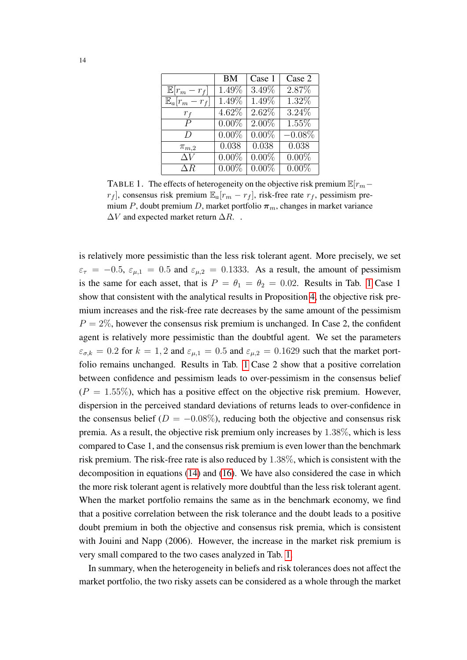|                         | <b>BM</b> | Case 1   | Case 2    |  |  |  |
|-------------------------|-----------|----------|-----------|--|--|--|
| $\mathbb{E}[r_m-r_f]$   | 1.49%     | 3.49%    | 2.87%     |  |  |  |
| $\mathbb{E}_a[r_m-r_f]$ | $1.49\%$  | $1.49\%$ | 1.32%     |  |  |  |
| $r_f$                   | $4.62\%$  | $2.62\%$ | $3.24\%$  |  |  |  |
| $\overline{P}$          | $0.00\%$  | $2.00\%$ | $1.55\%$  |  |  |  |
| D                       | $0.00\%$  | $0.00\%$ | $-0.08\%$ |  |  |  |
| $\pi_{m,2}$             | 0.038     | 0.038    | 0.038     |  |  |  |
| $\overline{\Delta V}$   | $0.00\%$  | $0.00\%$ | $0.00\%$  |  |  |  |
| $\Delta R$              | $0.00\%$  | $0.00\%$ | $0.00\%$  |  |  |  |

<span id="page-14-0"></span>TABLE 1. The effects of heterogeneity on the objective risk premium  $\mathbb{E}[r_m$  $r_f$ , consensus risk premium  $\mathbb{E}_a[r_m - r_f]$ , risk-free rate  $r_f$ , pessimism premium P, doubt premium D, market portfolio  $\pi_m$ , changes in market variance  $\Delta V$  and expected market return  $\Delta R$ ..

is relatively more pessimistic than the less risk tolerant agent. More precisely, we set  $\varepsilon_{\tau} = -0.5$ ,  $\varepsilon_{\mu,1} = 0.5$  and  $\varepsilon_{\mu,2} = 0.1333$ . As a result, the amount of pessimism is the same for each asset, that is  $P = \theta_1 = \theta_2 = 0.02$ . Results in Tab. [1](#page-14-0) Case 1 show that consistent with the analytical results in Proposition [4,](#page-12-1) the objective risk premium increases and the risk-free rate decreases by the same amount of the pessimism  $P = 2\%$ , however the consensus risk premium is unchanged. In Case 2, the confident agent is relatively more pessimistic than the doubtful agent. We set the parameters  $\varepsilon_{\sigma,k} = 0.2$  for  $k = 1, 2$  and  $\varepsilon_{\mu,1} = 0.5$  and  $\varepsilon_{\mu,2} = 0.1629$  such that the market portfolio remains unchanged. Results in Tab. [1](#page-14-0) Case 2 show that a positive correlation between confidence and pessimism leads to over-pessimism in the consensus belief  $(P = 1.55\%)$ , which has a positive effect on the objective risk premium. However, dispersion in the perceived standard deviations of returns leads to over-confidence in the consensus belief ( $D = -0.08\%$ ), reducing both the objective and consensus risk premia. As a result, the objective risk premium only increases by 1.38%, which is less compared to Case 1, and the consensus risk premium is even lower than the benchmark risk premium. The risk-free rate is also reduced by 1.38%, which is consistent with the decomposition in equations [\(14\)](#page-11-1) and [\(16\)](#page-11-2). We have also considered the case in which the more risk tolerant agent is relatively more doubtful than the less risk tolerant agent. When the market portfolio remains the same as in the benchmark economy, we find that a positive correlation between the risk tolerance and the doubt leads to a positive doubt premium in both the objective and consensus risk premia, which is consistent with Jouini and Napp (2006). However, the increase in the market risk premium is very small compared to the two cases analyzed in Tab. [1.](#page-14-0)

In summary, when the heterogeneity in beliefs and risk tolerances does not affect the market portfolio, the two risky assets can be considered as a whole through the market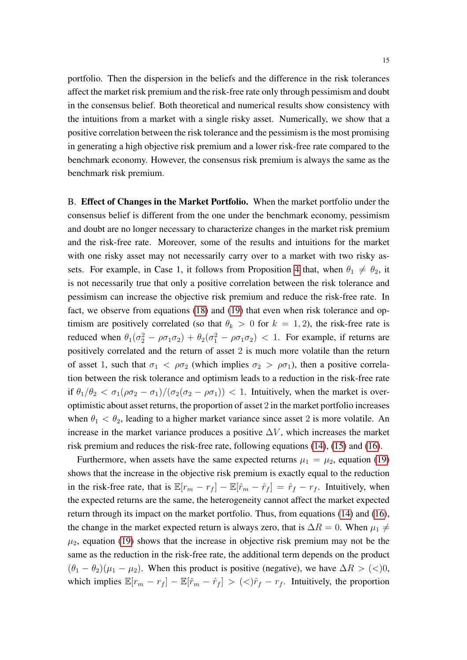portfolio. Then the dispersion in the beliefs and the difference in the risk tolerances affect the market risk premium and the risk-free rate only through pessimism and doubt in the consensus belief. Both theoretical and numerical results show consistency with the intuitions from a market with a single risky asset. Numerically, we show that a positive correlation between the risk tolerance and the pessimism is the most promising in generating a high objective risk premium and a lower risk-free rate compared to the benchmark economy. However, the consensus risk premium is always the same as the benchmark risk premium.

B. Effect of Changes in the Market Portfolio. When the market portfolio under the consensus belief is different from the one under the benchmark economy, pessimism and doubt are no longer necessary to characterize changes in the market risk premium and the risk-free rate. Moreover, some of the results and intuitions for the market with one risky asset may not necessarily carry over to a market with two risky as-sets. For example, in Case 1, it follows from Proposition [4](#page-12-1) that, when  $\theta_1 \neq \theta_2$ , it is not necessarily true that only a positive correlation between the risk tolerance and pessimism can increase the objective risk premium and reduce the risk-free rate. In fact, we observe from equations [\(18\)](#page-12-2) and [\(19\)](#page-12-3) that even when risk tolerance and optimism are positively correlated (so that  $\theta_k > 0$  for  $k = 1, 2$ ), the risk-free rate is reduced when  $\theta_1(\sigma_2^2 - \rho \sigma_1 \sigma_2) + \theta_2(\sigma_1^2 - \rho \sigma_1 \sigma_2) < 1$ . For example, if returns are positively correlated and the return of asset 2 is much more volatile than the return of asset 1, such that  $\sigma_1 < \rho \sigma_2$  (which implies  $\sigma_2 > \rho \sigma_1$ ), then a positive correlation between the risk tolerance and optimism leads to a reduction in the risk-free rate if  $\theta_1/\theta_2 < \sigma_1(\rho \sigma_2 - \sigma_1)/(\sigma_2(\sigma_2 - \rho \sigma_1)) < 1$ . Intuitively, when the market is overoptimistic about asset returns, the proportion of asset 2 in the market portfolio increases when  $\theta_1 < \theta_2$ , leading to a higher market variance since asset 2 is more volatile. An increase in the market variance produces a positive  $\Delta V$ , which increases the market risk premium and reduces the risk-free rate, following equations [\(14\)](#page-11-1), [\(15\)](#page-11-3) and [\(16\)](#page-11-2).

Furthermore, when assets have the same expected returns  $\mu_1 = \mu_2$ , equation [\(19\)](#page-12-3) shows that the increase in the objective risk premium is exactly equal to the reduction in the risk-free rate, that is  $\mathbb{E}[r_m - r_f] - \mathbb{E}[\hat{r}_m - \hat{r}_f] = \hat{r}_f - r_f$ . Intuitively, when the expected returns are the same, the heterogeneity cannot affect the market expected return through its impact on the market portfolio. Thus, from equations [\(14\)](#page-11-1) and [\(16\)](#page-11-2), the change in the market expected return is always zero, that is  $\Delta R = 0$ . When  $\mu_1 \neq$  $\mu_2$ , equation [\(19\)](#page-12-3) shows that the increase in objective risk premium may not be the same as the reduction in the risk-free rate, the additional term depends on the product  $(\theta_1 - \theta_2)(\mu_1 - \mu_2)$ . When this product is positive (negative), we have  $\Delta R > (<)0$ , which implies  $\mathbb{E}[r_m - r_f] - \mathbb{E}[\hat{r}_m - \hat{r}_f] > (\langle \hat{r}_f - r_f]$ . Intuitively, the proportion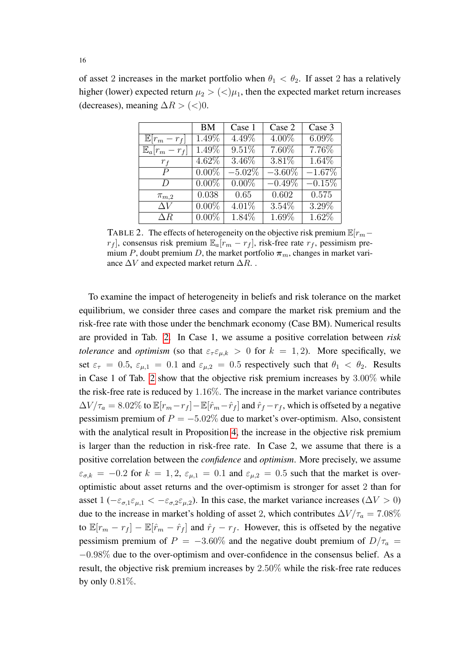of asset 2 increases in the market portfolio when  $\theta_1 < \theta_2$ . If asset 2 has a relatively higher (lower) expected return  $\mu_2 > \langle \langle \mu_1 \rangle$ , then the expected market return increases (decreases), meaning  $\Delta R$  > (<)0.

|                         | BM       | Case 1    | Case 2    | Case 3   |
|-------------------------|----------|-----------|-----------|----------|
| $\mathbb{E}[r_m-r_f]$   | 1.49%    | 4.49%     | $4.00\%$  | $6.09\%$ |
| $\mathbb{E}_a[r_m-r_f]$ | 1.49%    | 9.51%     | $7.60\%$  | $7.76\%$ |
| $r_f$                   | 4.62\%   | 3.46%     | 3.81%     | 1.64%    |
| $\boldsymbol{P}$        | $0.00\%$ | $-5.02\%$ | $-3.60\%$ | $-1.67%$ |
| $\overline{D}$          | $0.00\%$ | $0.00\%$  | $-0.49\%$ | $-0.15%$ |
| $\pi_{m,2}$             | 0.038    | 0.65      | 0.602     | 0.575    |
| $\Delta V$              | $0.00\%$ | $4.01\%$  | $3.54\%$  | 3.29%    |
| $\Delta R$              | $0.00\%$ | $1.84\%$  | $1.69\%$  | $1.62\%$ |

<span id="page-16-0"></span>TABLE 2. The effects of heterogeneity on the objective risk premium  $\mathbb{E}[r_m$  $r_f$ , consensus risk premium  $\mathbb{E}_a[r_m - r_f]$ , risk-free rate  $r_f$ , pessimism premium P, doubt premium D, the market portfolio  $\pi_m$ , changes in market variance  $\Delta V$  and expected market return  $\Delta R$ .

To examine the impact of heterogeneity in beliefs and risk tolerance on the market equilibrium, we consider three cases and compare the market risk premium and the risk-free rate with those under the benchmark economy (Case BM). Numerical results are provided in Tab. [2.](#page-16-0) In Case 1, we assume a positive correlation between *risk tolerance* and *optimism* (so that  $\varepsilon_{\tau} \varepsilon_{\mu,k} > 0$  for  $k = 1, 2$ ). More specifically, we set  $\varepsilon_{\tau} = 0.5$ ,  $\varepsilon_{\mu,1} = 0.1$  and  $\varepsilon_{\mu,2} = 0.5$  respectively such that  $\theta_1 < \theta_2$ . Results in Case 1 of Tab. [2](#page-16-0) show that the objective risk premium increases by 3.00% while the risk-free rate is reduced by 1.16%. The increase in the market variance contributes  $\Delta V/\tau_a = 8.02\%$  to  $\mathbb{E}[r_m - r_f] - \mathbb{E}[\hat{r}_m - \hat{r}_f]$  and  $\hat{r}_f - r_f$ , which is offseted by a negative pessimism premium of  $P = -5.02\%$  due to market's over-optimism. Also, consistent with the analytical result in Proposition [4,](#page-12-1) the increase in the objective risk premium is larger than the reduction in risk-free rate. In Case 2, we assume that there is a positive correlation between the *confidence* and *optimism*. More precisely, we assume  $\varepsilon_{\sigma,k} = -0.2$  for  $k = 1, 2, \varepsilon_{\mu,1} = 0.1$  and  $\varepsilon_{\mu,2} = 0.5$  such that the market is overoptimistic about asset returns and the over-optimism is stronger for asset 2 than for asset  $1$  ( $-\varepsilon_{\sigma,1}\varepsilon_{\mu,1} < -\varepsilon_{\sigma,2}\varepsilon_{\mu,2}$ ). In this case, the market variance increases ( $\Delta V > 0$ ) due to the increase in market's holding of asset 2, which contributes  $\Delta V/\tau_a = 7.08\%$ to  $\mathbb{E}[r_m - r_f] - \mathbb{E}[\hat{r}_m - \hat{r}_f]$  and  $\hat{r}_f - r_f$ . However, this is offseted by the negative pessimism premium of  $P = -3.60\%$  and the negative doubt premium of  $D/\tau_a =$ −0.98% due to the over-optimism and over-confidence in the consensus belief. As a result, the objective risk premium increases by 2.50% while the risk-free rate reduces by only 0.81%.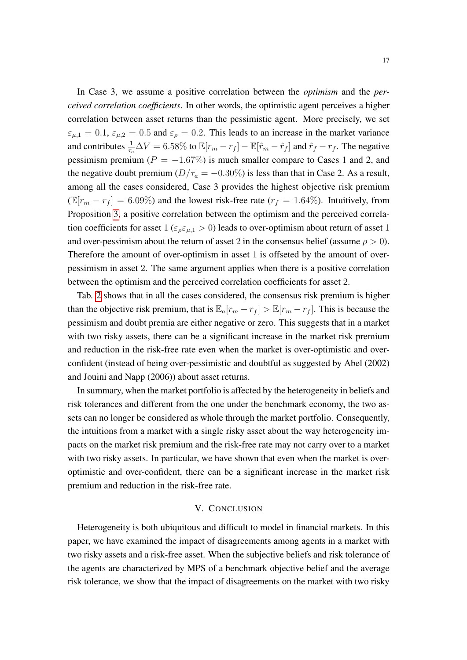In Case 3, we assume a positive correlation between the *optimism* and the *perceived correlation coefficients*. In other words, the optimistic agent perceives a higher correlation between asset returns than the pessimistic agent. More precisely, we set  $\varepsilon_{\mu,1} = 0.1$ ,  $\varepsilon_{\mu,2} = 0.5$  and  $\varepsilon_{\rho} = 0.2$ . This leads to an increase in the market variance and contributes  $\frac{1}{\tau_a}\Delta V = 6.58\%$  to  $\mathbb{E}[r_m - r_f] - \mathbb{E}[\hat{r}_m - \hat{r}_f]$  and  $\hat{r}_f - r_f$ . The negative pessimism premium ( $P = -1.67\%$ ) is much smaller compare to Cases 1 and 2, and the negative doubt premium ( $D/\tau_a = -0.30\%$ ) is less than that in Case 2. As a result, among all the cases considered, Case 3 provides the highest objective risk premium  $(\mathbb{E}[r_m - r_f] = 6.09\%)$  and the lowest risk-free rate  $(r_f = 1.64\%)$ . Intuitively, from Proposition [3,](#page-10-1) a positive correlation between the optimism and the perceived correlation coefficients for asset  $1 (\epsilon_{\rho} \epsilon_{\mu,1} > 0)$  leads to over-optimism about return of asset 1 and over-pessimism about the return of asset 2 in the consensus belief (assume  $\rho > 0$ ). Therefore the amount of over-optimism in asset 1 is offseted by the amount of overpessimism in asset 2. The same argument applies when there is a positive correlation between the optimism and the perceived correlation coefficients for asset 2.

Tab. [2](#page-16-0) shows that in all the cases considered, the consensus risk premium is higher than the objective risk premium, that is  $\mathbb{E}_a[r_m - r_f] > \mathbb{E}[r_m - r_f]$ . This is because the pessimism and doubt premia are either negative or zero. This suggests that in a market with two risky assets, there can be a significant increase in the market risk premium and reduction in the risk-free rate even when the market is over-optimistic and overconfident (instead of being over-pessimistic and doubtful as suggested by Abel (2002) and Jouini and Napp (2006)) about asset returns.

In summary, when the market portfolio is affected by the heterogeneity in beliefs and risk tolerances and different from the one under the benchmark economy, the two assets can no longer be considered as whole through the market portfolio. Consequently, the intuitions from a market with a single risky asset about the way heterogeneity impacts on the market risk premium and the risk-free rate may not carry over to a market with two risky assets. In particular, we have shown that even when the market is overoptimistic and over-confident, there can be a significant increase in the market risk premium and reduction in the risk-free rate.

#### V. CONCLUSION

<span id="page-17-0"></span>Heterogeneity is both ubiquitous and difficult to model in financial markets. In this paper, we have examined the impact of disagreements among agents in a market with two risky assets and a risk-free asset. When the subjective beliefs and risk tolerance of the agents are characterized by MPS of a benchmark objective belief and the average risk tolerance, we show that the impact of disagreements on the market with two risky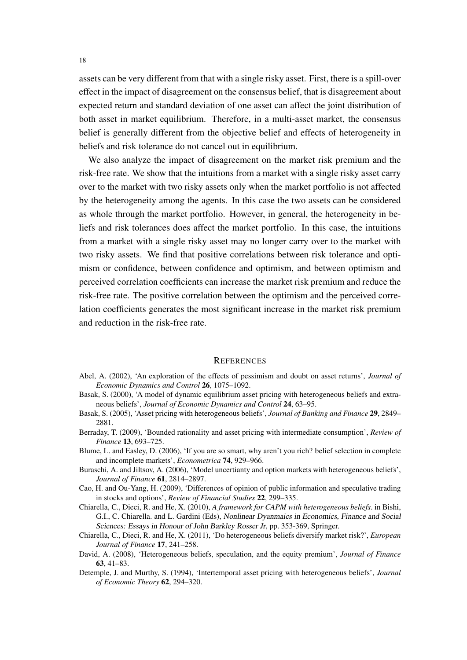assets can be very different from that with a single risky asset. First, there is a spill-over effect in the impact of disagreement on the consensus belief, that is disagreement about expected return and standard deviation of one asset can affect the joint distribution of both asset in market equilibrium. Therefore, in a multi-asset market, the consensus belief is generally different from the objective belief and effects of heterogeneity in beliefs and risk tolerance do not cancel out in equilibrium.

We also analyze the impact of disagreement on the market risk premium and the risk-free rate. We show that the intuitions from a market with a single risky asset carry over to the market with two risky assets only when the market portfolio is not affected by the heterogeneity among the agents. In this case the two assets can be considered as whole through the market portfolio. However, in general, the heterogeneity in beliefs and risk tolerances does affect the market portfolio. In this case, the intuitions from a market with a single risky asset may no longer carry over to the market with two risky assets. We find that positive correlations between risk tolerance and optimism or confidence, between confidence and optimism, and between optimism and perceived correlation coefficients can increase the market risk premium and reduce the risk-free rate. The positive correlation between the optimism and the perceived correlation coefficients generates the most significant increase in the market risk premium and reduction in the risk-free rate.

#### **REFERENCES**

- Abel, A. (2002), 'An exploration of the effects of pessimism and doubt on asset returns', *Journal of Economic Dynamics and Control* 26, 1075–1092.
- Basak, S. (2000), 'A model of dynamic equilibrium asset pricing with heterogeneous beliefs and extraneous beliefs', *Journal of Economic Dynamics and Control* 24, 63–95.
- Basak, S. (2005), 'Asset pricing with heterogeneous beliefs', *Journal of Banking and Finance* 29, 2849– 2881.
- Berraday, T. (2009), 'Bounded rationality and asset pricing with intermediate consumption', *Review of Finance* 13, 693–725.
- Blume, L. and Easley, D. (2006), 'If you are so smart, why aren't you rich? belief selection in complete and incomplete markets', *Econometrica* 74, 929–966.
- Buraschi, A. and Jiltsov, A. (2006), 'Model uncertianty and option markets with heterogeneous beliefs', *Journal of Finance* 61, 2814–2897.
- Cao, H. and Ou-Yang, H. (2009), 'Differences of opinion of public information and speculative trading in stocks and options', *Review of Financial Studies* 22, 299–335.
- Chiarella, C., Dieci, R. and He, X. (2010), *A framework for CAPM with heterogeneous beliefs*. in Bishi, G.I., C. Chiarella. and L. Gardini (Eds), Nonlinear Dyanmaics in Economics, Finance and Social Sciences: Essays in Honour of John Barkley Rosser Jr, pp. 353-369, Springer.
- Chiarella, C., Dieci, R. and He, X. (2011), 'Do heterogeneous beliefs diversify market risk?', *European Journal of Finance* 17, 241–258.
- David, A. (2008), 'Heterogeneous beliefs, speculation, and the equity premium', *Journal of Finance* 63, 41–83.
- Detemple, J. and Murthy, S. (1994), 'Intertemporal asset pricing with heterogeneous beliefs', *Journal of Economic Theory* 62, 294–320.